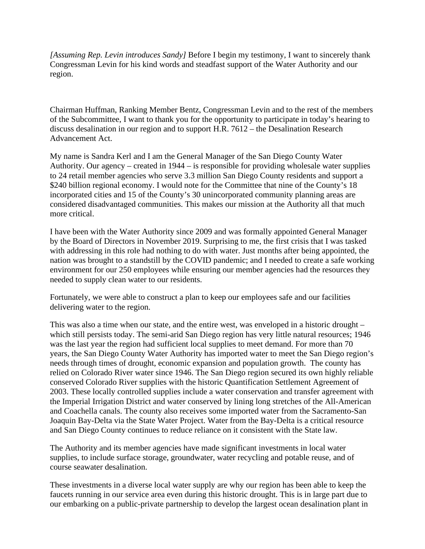*[Assuming Rep. Levin introduces Sandy]* Before I begin my testimony, I want to sincerely thank Congressman Levin for his kind words and steadfast support of the Water Authority and our region.

Chairman Huffman, Ranking Member Bentz, Congressman Levin and to the rest of the members of the Subcommittee, I want to thank you for the opportunity to participate in today's hearing to discuss desalination in our region and to support H.R. 7612 – the Desalination Research Advancement Act.

My name is Sandra Kerl and I am the General Manager of the San Diego County Water Authority. Our agency – created in 1944 – is responsible for providing wholesale water supplies to 24 retail member agencies who serve 3.3 million San Diego County residents and support a \$240 billion regional economy. I would note for the Committee that nine of the County's 18 incorporated cities and 15 of the County's 30 unincorporated community planning areas are considered disadvantaged communities. This makes our mission at the Authority all that much more critical.

I have been with the Water Authority since 2009 and was formally appointed General Manager by the Board of Directors in November 2019. Surprising to me, the first crisis that I was tasked with addressing in this role had nothing to do with water. Just months after being appointed, the nation was brought to a standstill by the COVID pandemic; and I needed to create a safe working environment for our 250 employees while ensuring our member agencies had the resources they needed to supply clean water to our residents.

Fortunately, we were able to construct a plan to keep our employees safe and our facilities delivering water to the region.

This was also a time when our state, and the entire west, was enveloped in a historic drought – which still persists today. The semi-arid San Diego region has very little natural resources; 1946 was the last year the region had sufficient local supplies to meet demand. For more than 70 years, the San Diego County Water Authority has imported water to meet the San Diego region's needs through times of drought, economic expansion and population growth. The county has relied on Colorado River water since 1946. The San Diego region secured its own highly reliable conserved Colorado River supplies with the historic Quantification Settlement Agreement of 2003. These locally controlled supplies include a water conservation and transfer agreement with the Imperial Irrigation District and water conserved by lining long stretches of the All-American and Coachella canals. The county also receives some imported water from the Sacramento-San Joaquin Bay-Delta via the State Water Project. Water from the Bay-Delta is a critical resource and San Diego County continues to reduce reliance on it consistent with the State law.

The Authority and its member agencies have made significant investments in local water supplies, to include surface storage, groundwater, water recycling and potable reuse, and of course seawater desalination.

These investments in a diverse local water supply are why our region has been able to keep the faucets running in our service area even during this historic drought. This is in large part due to our embarking on a public-private partnership to develop the largest ocean desalination plant in